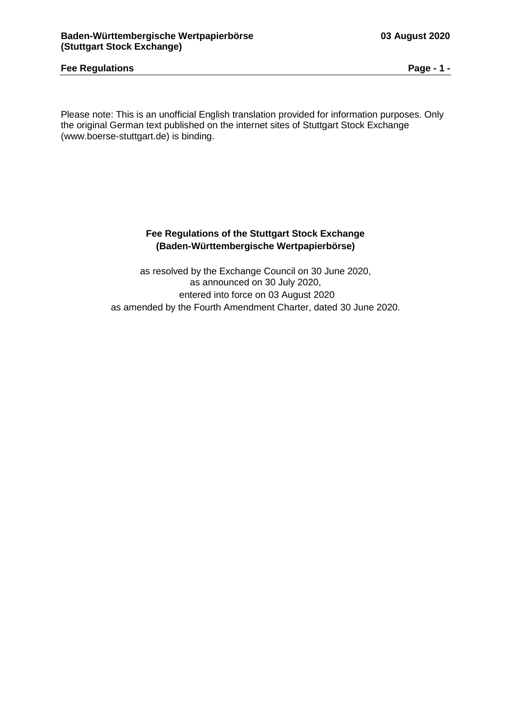### **Fee Regulations Page - 1 -**

Please note: This is an unofficial English translation provided for information purposes. Only the original German text published on the internet sites of Stuttgart Stock Exchange (www.boerse-stuttgart.de) is binding.

### **Fee Regulations of the Stuttgart Stock Exchange (Baden-Württembergische Wertpapierbörse)**

as resolved by the Exchange Council on 30 June 2020, as announced on 30 July 2020, entered into force on 03 August 2020 as amended by the Fourth Amendment Charter, dated 30 June 2020.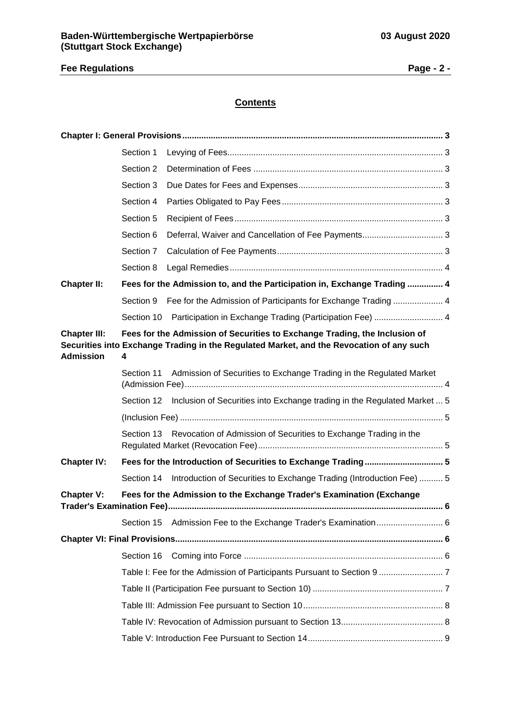# **Fee Regulations Page - 2 -**

# **Contents**

|                                         | Section 1  |                                                                                                                                                                        |  |
|-----------------------------------------|------------|------------------------------------------------------------------------------------------------------------------------------------------------------------------------|--|
|                                         | Section 2  |                                                                                                                                                                        |  |
|                                         | Section 3  |                                                                                                                                                                        |  |
|                                         | Section 4  |                                                                                                                                                                        |  |
|                                         | Section 5  |                                                                                                                                                                        |  |
|                                         | Section 6  |                                                                                                                                                                        |  |
|                                         | Section 7  |                                                                                                                                                                        |  |
|                                         | Section 8  |                                                                                                                                                                        |  |
| <b>Chapter II:</b>                      |            | Fees for the Admission to, and the Participation in, Exchange Trading  4                                                                                               |  |
|                                         | Section 9  | Fee for the Admission of Participants for Exchange Trading  4                                                                                                          |  |
|                                         | Section 10 | Participation in Exchange Trading (Participation Fee)  4                                                                                                               |  |
| <b>Chapter III:</b><br><b>Admission</b> | 4          | Fees for the Admission of Securities to Exchange Trading, the Inclusion of<br>Securities into Exchange Trading in the Regulated Market, and the Revocation of any such |  |
|                                         | Section 11 | Admission of Securities to Exchange Trading in the Regulated Market                                                                                                    |  |
|                                         |            | Section 12 Inclusion of Securities into Exchange trading in the Regulated Market  5                                                                                    |  |
|                                         |            |                                                                                                                                                                        |  |
|                                         | Section 13 | Revocation of Admission of Securities to Exchange Trading in the                                                                                                       |  |
| <b>Chapter IV:</b>                      |            |                                                                                                                                                                        |  |
|                                         |            | Section 14 Introduction of Securities to Exchange Trading (Introduction Fee)  5                                                                                        |  |
| <b>Chapter V:</b>                       |            | Fees for the Admission to the Exchange Trader's Examination (Exchange                                                                                                  |  |
|                                         | Section 15 |                                                                                                                                                                        |  |
|                                         |            |                                                                                                                                                                        |  |
|                                         | Section 16 |                                                                                                                                                                        |  |
|                                         |            |                                                                                                                                                                        |  |
|                                         |            |                                                                                                                                                                        |  |
|                                         |            |                                                                                                                                                                        |  |
|                                         |            |                                                                                                                                                                        |  |
|                                         |            |                                                                                                                                                                        |  |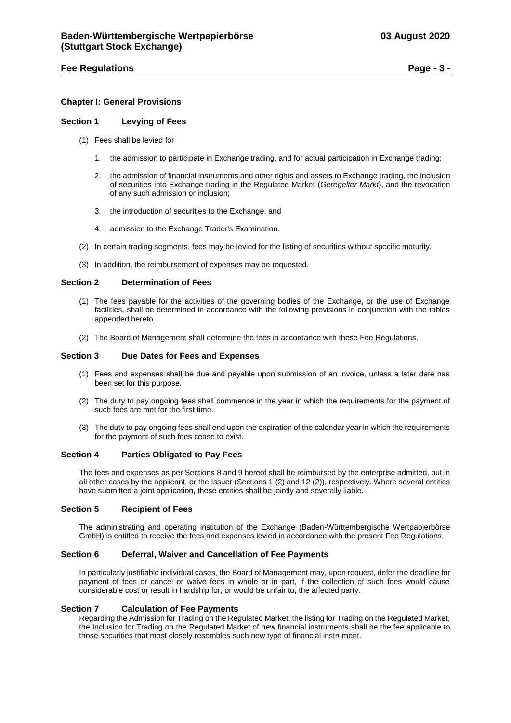### **Fee Regulations Page - 3 -**

### <span id="page-2-0"></span>**Chapter I: General Provisions**

#### <span id="page-2-1"></span>**Section 1 Levying of Fees**

- (1) Fees shall be levied for
	- 1. the admission to participate in Exchange trading, and for actual participation in Exchange trading;
	- 2. the admission of financial instruments and other rights and assets to Exchange trading, the inclusion of securities into Exchange trading in the Regulated Market (*Geregelter Markt*), and the revocation of any such admission or inclusion;
	- 3. the introduction of securities to the Exchange; and
	- 4. admission to the Exchange Trader's Examination.
- (2) In certain trading segments, fees may be levied for the listing of securities without specific maturity.
- (3) In addition, the reimbursement of expenses may be requested.

#### <span id="page-2-2"></span>**Section 2 Determination of Fees**

- (1) The fees payable for the activities of the governing bodies of the Exchange, or the use of Exchange facilities, shall be determined in accordance with the following provisions in conjunction with the tables appended hereto.
- (2) The Board of Management shall determine the fees in accordance with these Fee Regulations.

#### <span id="page-2-3"></span>**Section 3 Due Dates for Fees and Expenses**

- (1) Fees and expenses shall be due and payable upon submission of an invoice, unless a later date has been set for this purpose.
- (2) The duty to pay ongoing fees shall commence in the year in which the requirements for the payment of such fees are met for the first time.
- (3) The duty to pay ongoing fees shall end upon the expiration of the calendar year in which the requirements for the payment of such fees cease to exist.

#### <span id="page-2-4"></span>**Section 4 Parties Obligated to Pay Fees**

The fees and expenses as per Sections 8 and 9 hereof shall be reimbursed by the enterprise admitted, but in all other cases by the applicant, or the Issuer (Sections 1 (2) and 12 (2)), respectively. Where several entities have submitted a joint application, these entities shall be jointly and severally liable.

#### <span id="page-2-5"></span>**Section 5 Recipient of Fees**

The administrating and operating institution of the Exchange (Baden-Württembergische Wertpapierbörse GmbH) is entitled to receive the fees and expenses levied in accordance with the present Fee Regulations.

#### <span id="page-2-6"></span>**Section 6 Deferral, Waiver and Cancellation of Fee Payments**

In particularly justifiable individual cases, the Board of Management may, upon request, defer the deadline for payment of fees or cancel or waive fees in whole or in part, if the collection of such fees would cause considerable cost or result in hardship for, or would be unfair to, the affected party.

#### <span id="page-2-7"></span>**Section 7 Calculation of Fee Payments**

Regarding the Admission for Trading on the Regulated Market, the listing for Trading on the Regulated Market, the Inclusion for Trading on the Regulated Market of new financial instruments shall be the fee applicable to those securities that most closely resembles such new type of financial instrument.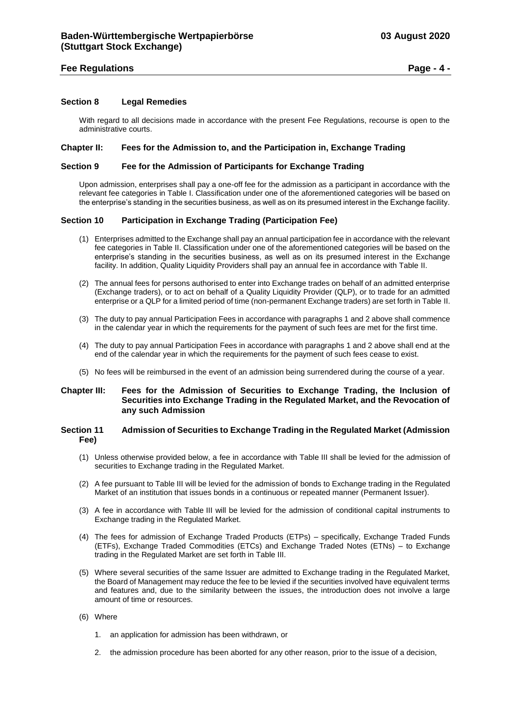### **Fee Regulations Page - 4 -**

#### <span id="page-3-0"></span>**Section 8 Legal Remedies**

With regard to all decisions made in accordance with the present Fee Regulations, recourse is open to the administrative courts.

#### <span id="page-3-1"></span>**Chapter II: Fees for the Admission to, and the Participation in, Exchange Trading**

#### <span id="page-3-2"></span>**Section 9 Fee for the Admission of Participants for Exchange Trading**

Upon admission, enterprises shall pay a one-off fee for the admission as a participant in accordance with the relevant fee categories in Table I. Classification under one of the aforementioned categories will be based on the enterprise's standing in the securities business, as well as on its presumed interest in the Exchange facility.

### <span id="page-3-3"></span>**Section 10 Participation in Exchange Trading (Participation Fee)**

- (1) Enterprises admitted to the Exchange shall pay an annual participation fee in accordance with the relevant fee categories in Table II. Classification under one of the aforementioned categories will be based on the enterprise's standing in the securities business, as well as on its presumed interest in the Exchange facility. In addition, Quality Liquidity Providers shall pay an annual fee in accordance with Table II.
- (2) The annual fees for persons authorised to enter into Exchange trades on behalf of an admitted enterprise (Exchange traders), or to act on behalf of a Quality Liquidity Provider (QLP), or to trade for an admitted enterprise or a QLP for a limited period of time (non-permanent Exchange traders) are set forth in Table II.
- (3) The duty to pay annual Participation Fees in accordance with paragraphs 1 and 2 above shall commence in the calendar year in which the requirements for the payment of such fees are met for the first time.
- (4) The duty to pay annual Participation Fees in accordance with paragraphs 1 and 2 above shall end at the end of the calendar year in which the requirements for the payment of such fees cease to exist.
- (5) No fees will be reimbursed in the event of an admission being surrendered during the course of a year.

### <span id="page-3-4"></span>**Chapter III: Fees for the Admission of Securities to Exchange Trading, the Inclusion of Securities into Exchange Trading in the Regulated Market, and the Revocation of any such Admission**

#### <span id="page-3-5"></span>**Section 11 Admission of Securities to Exchange Trading in the Regulated Market (Admission Fee)**

- (1) Unless otherwise provided below, a fee in accordance with Table III shall be levied for the admission of securities to Exchange trading in the Regulated Market.
- (2) A fee pursuant to Table III will be levied for the admission of bonds to Exchange trading in the Regulated Market of an institution that issues bonds in a continuous or repeated manner (Permanent Issuer).
- (3) A fee in accordance with Table III will be levied for the admission of conditional capital instruments to Exchange trading in the Regulated Market.
- (4) The fees for admission of Exchange Traded Products (ETPs) specifically, Exchange Traded Funds (ETFs), Exchange Traded Commodities (ETCs) and Exchange Traded Notes (ETNs) – to Exchange trading in the Regulated Market are set forth in Table III.
- (5) Where several securities of the same Issuer are admitted to Exchange trading in the Regulated Market, the Board of Management may reduce the fee to be levied if the securities involved have equivalent terms and features and, due to the similarity between the issues, the introduction does not involve a large amount of time or resources.
- (6) Where
	- 1. an application for admission has been withdrawn, or
	- 2. the admission procedure has been aborted for any other reason, prior to the issue of a decision,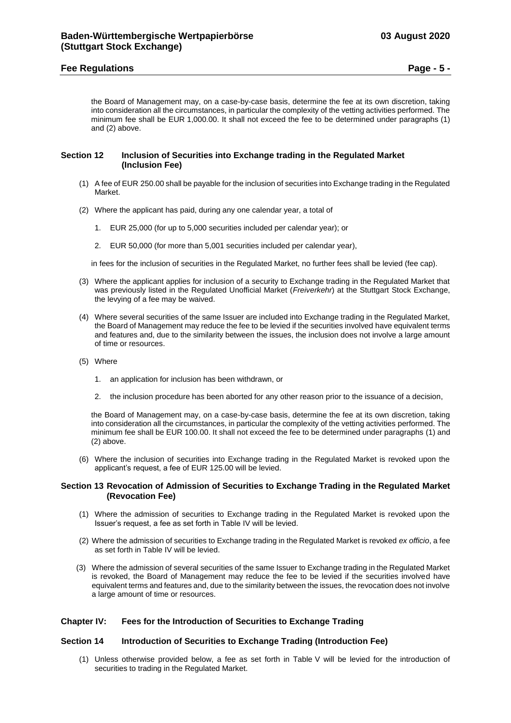### **Fee Regulations Page - 5 -**

the Board of Management may, on a case-by-case basis, determine the fee at its own discretion, taking into consideration all the circumstances, in particular the complexity of the vetting activities performed. The minimum fee shall be EUR 1,000.00. It shall not exceed the fee to be determined under paragraphs (1) and (2) above.

#### <span id="page-4-1"></span><span id="page-4-0"></span>**Section 12 Inclusion of Securities into Exchange trading in the Regulated Market (Inclusion Fee)**

- (1) A fee of EUR 250.00 shall be payable for the inclusion of securities into Exchange trading in the Regulated Market.
- (2) Where the applicant has paid, during any one calendar year, a total of
	- 1. EUR 25,000 (for up to 5,000 securities included per calendar year); or
	- 2. EUR 50,000 (for more than 5,001 securities included per calendar year),

in fees for the inclusion of securities in the Regulated Market, no further fees shall be levied (fee cap).

- (3) Where the applicant applies for inclusion of a security to Exchange trading in the Regulated Market that was previously listed in the Regulated Unofficial Market (*Freiverkehr*) at the Stuttgart Stock Exchange, the levying of a fee may be waived.
- (4) Where several securities of the same Issuer are included into Exchange trading in the Regulated Market, the Board of Management may reduce the fee to be levied if the securities involved have equivalent terms and features and, due to the similarity between the issues, the inclusion does not involve a large amount of time or resources.
- (5) Where
	- 1. an application for inclusion has been withdrawn, or
	- 2. the inclusion procedure has been aborted for any other reason prior to the issuance of a decision,

the Board of Management may, on a case-by-case basis, determine the fee at its own discretion, taking into consideration all the circumstances, in particular the complexity of the vetting activities performed. The minimum fee shall be EUR 100.00. It shall not exceed the fee to be determined under paragraphs (1) and (2) above.

(6) Where the inclusion of securities into Exchange trading in the Regulated Market is revoked upon the applicant's request, a fee of EUR 125.00 will be levied.

#### <span id="page-4-2"></span>**Section 13 Revocation of Admission of Securities to Exchange Trading in the Regulated Market (Revocation Fee)**

- (1) Where the admission of securities to Exchange trading in the Regulated Market is revoked upon the Issuer's request, a fee as set forth in Table IV will be levied.
- (2) Where the admission of securities to Exchange trading in the Regulated Market is revoked *ex officio*, a fee as set forth in Table IV will be levied.
- (3) Where the admission of several securities of the same Issuer to Exchange trading in the Regulated Market is revoked, the Board of Management may reduce the fee to be levied if the securities involved have equivalent terms and features and, due to the similarity between the issues, the revocation does not involve a large amount of time or resources.

### <span id="page-4-3"></span>**Chapter IV: Fees for the Introduction of Securities to Exchange Trading**

#### <span id="page-4-4"></span>**Section 14 Introduction of Securities to Exchange Trading (Introduction Fee)**

(1) Unless otherwise provided below, a fee as set forth in Table V will be levied for the introduction of securities to trading in the Regulated Market.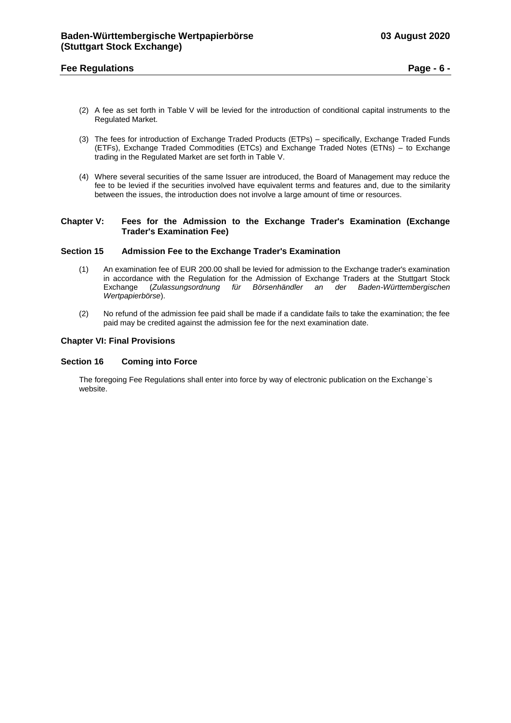### **Fee Regulations Page - 6 -**

- (2) A fee as set forth in Table V will be levied for the introduction of conditional capital instruments to the Regulated Market.
- (3) The fees for introduction of Exchange Traded Products (ETPs) specifically, Exchange Traded Funds (ETFs), Exchange Traded Commodities (ETCs) and Exchange Traded Notes (ETNs) – to Exchange trading in the Regulated Market are set forth in Table V.
- (4) Where several securities of the same Issuer are introduced, the Board of Management may reduce the fee to be levied if the securities involved have equivalent terms and features and, due to the similarity between the issues, the introduction does not involve a large amount of time or resources.

#### <span id="page-5-0"></span>**Chapter V: Fees for the Admission to the Exchange Trader's Examination (Exchange Trader's Examination Fee)**

#### <span id="page-5-1"></span>**Section 15 Admission Fee to the Exchange Trader's Examination**

- (1) An examination fee of EUR 200.00 shall be levied for admission to the Exchange trader's examination in accordance with the Regulation for the Admission of Exchange Traders at the Stuttgart Stock Exchange (*Zulassungsordnung für Börsenhändler an der Baden-Württembergischen Wertpapierbörse*).
- (2) No refund of the admission fee paid shall be made if a candidate fails to take the examination; the fee paid may be credited against the admission fee for the next examination date.

#### <span id="page-5-2"></span>**Chapter VI: Final Provisions**

#### <span id="page-5-3"></span>**Section 16 Coming into Force**

The foregoing Fee Regulations shall enter into force by way of electronic publication on the Exchange`s website.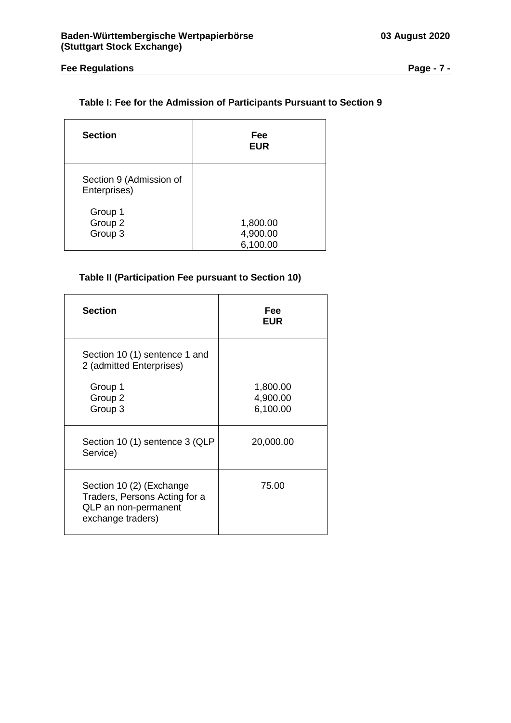# <span id="page-6-0"></span>**Table I: Fee for the Admission of Participants Pursuant to Section 9**

| <b>Section</b>                          | Fee<br><b>EUR</b>                |
|-----------------------------------------|----------------------------------|
| Section 9 (Admission of<br>Enterprises) |                                  |
| Group 1<br>Group 2<br>Group 3           | 1,800.00<br>4,900.00<br>6,100.00 |

# <span id="page-6-1"></span>**Table II (Participation Fee pursuant to Section 10)**

| <b>Section</b>                                                                                         | Fee<br><b>EUR</b>                |
|--------------------------------------------------------------------------------------------------------|----------------------------------|
| Section 10 (1) sentence 1 and<br>2 (admitted Enterprises)                                              |                                  |
| Group 1<br>Group 2<br>Group 3                                                                          | 1,800.00<br>4,900.00<br>6,100.00 |
| Section 10 (1) sentence 3 (QLP<br>Service)                                                             | 20,000.00                        |
| Section 10 (2) (Exchange<br>Traders, Persons Acting for a<br>QLP an non-permanent<br>exchange traders) | 75.00                            |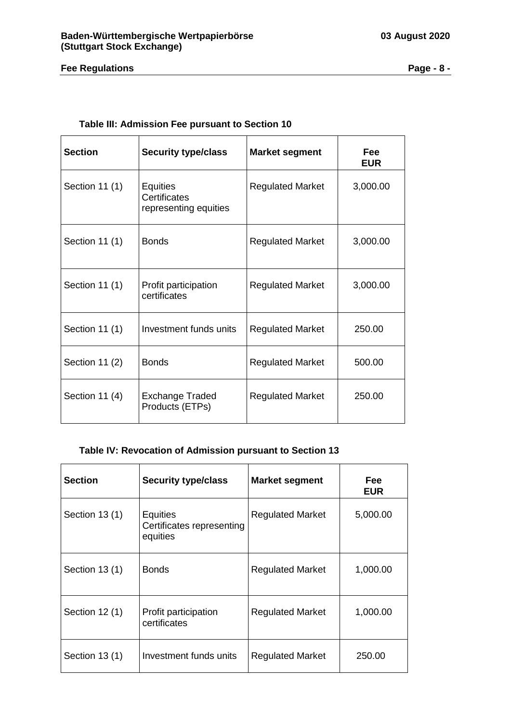# **Fee Regulations Page - 8 -**

## **Table III: Admission Fee pursuant to Section 10**

<span id="page-7-0"></span>

| <b>Section</b> | <b>Security type/class</b>                                      | <b>Market segment</b>   | <b>Fee</b><br><b>EUR</b> |
|----------------|-----------------------------------------------------------------|-------------------------|--------------------------|
| Section 11 (1) | <b>Equities</b><br><b>Certificates</b><br>representing equities | <b>Regulated Market</b> | 3,000.00                 |
| Section 11 (1) | <b>Bonds</b>                                                    | <b>Regulated Market</b> | 3,000.00                 |
| Section 11 (1) | Profit participation<br>certificates                            | <b>Regulated Market</b> | 3,000.00                 |
| Section 11 (1) | Investment funds units                                          | <b>Regulated Market</b> | 250.00                   |
| Section 11 (2) | <b>Bonds</b>                                                    | <b>Regulated Market</b> | 500.00                   |
| Section 11 (4) | <b>Exchange Traded</b><br>Products (ETPs)                       | <b>Regulated Market</b> | 250.00                   |

## <span id="page-7-1"></span>**Table IV: Revocation of Admission pursuant to Section 13**

| <b>Section</b> | <b>Security type/class</b>                               | <b>Market segment</b>   | <b>Fee</b><br><b>EUR</b> |
|----------------|----------------------------------------------------------|-------------------------|--------------------------|
| Section 13 (1) | <b>Equities</b><br>Certificates representing<br>equities | <b>Regulated Market</b> | 5,000.00                 |
| Section 13 (1) | <b>Bonds</b>                                             | <b>Regulated Market</b> | 1,000.00                 |
| Section 12 (1) | Profit participation<br>certificates                     | <b>Regulated Market</b> | 1,000.00                 |
| Section 13 (1) | Investment funds units                                   | <b>Regulated Market</b> | 250.00                   |